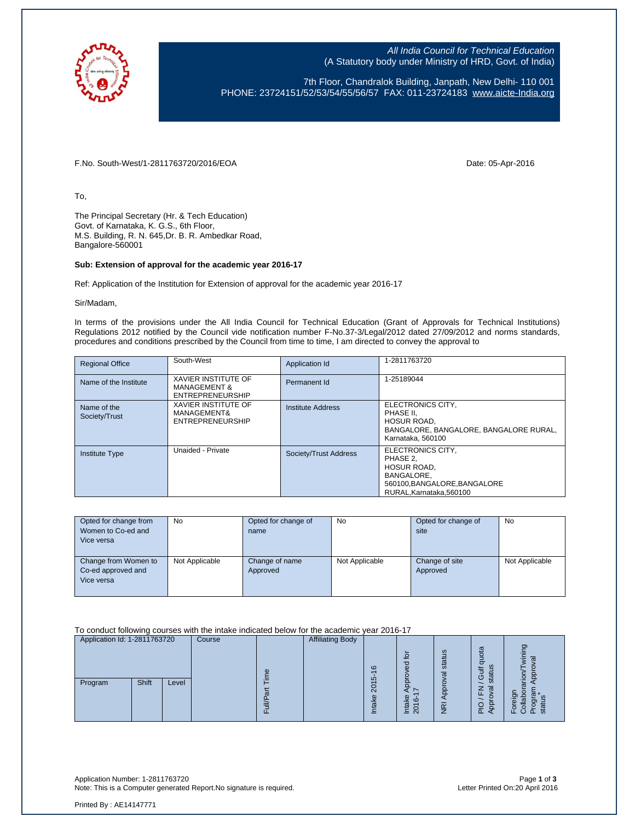

All India Council for Technical Education (A Statutory body under Ministry of HRD, Govt. of India)

7th Floor, Chandralok Building, Janpath, New Delhi- 110 001 PHONE: 23724151/52/53/54/55/56/57 FAX: 011-23724183 [www.aicte-India.org](http://www.aicte-india.org/)

F.No. South-West/1-2811763720/2016/EOA Date: 05-Apr-2016

To,

The Principal Secretary (Hr. & Tech Education) Govt. of Karnataka, K. G.S., 6th Floor, M.S. Building, R. N. 645,Dr. B. R. Ambedkar Road, Bangalore-560001

#### **Sub: Extension of approval for the academic year 2016-17**

Ref: Application of the Institution for Extension of approval for the academic year 2016-17

Sir/Madam,

In terms of the provisions under the All India Council for Technical Education (Grant of Approvals for Technical Institutions) Regulations 2012 notified by the Council vide notification number F-No.37-3/Legal/2012 dated 27/09/2012 and norms standards, procedures and conditions prescribed by the Council from time to time, I am directed to convey the approval to

| <b>Regional Office</b>       | South-West                                                                       | Application Id           | 1-2811763720                                                                                                                  |
|------------------------------|----------------------------------------------------------------------------------|--------------------------|-------------------------------------------------------------------------------------------------------------------------------|
| Name of the Institute        | <b>XAVIER INSTITUTE OF</b><br><b>MANAGEMENT &amp;</b><br><b>ENTREPRENEURSHIP</b> | Permanent Id             | 1-25189044                                                                                                                    |
| Name of the<br>Society/Trust | <b>XAVIER INSTITUTE OF</b><br>MANAGEMENT&<br><b>ENTREPRENEURSHIP</b>             | <b>Institute Address</b> | ELECTRONICS CITY.<br>PHASE II.<br><b>HOSUR ROAD,</b><br>BANGALORE, BANGALORE, BANGALORE RURAL.<br>Karnataka, 560100           |
| <b>Institute Type</b>        | Unaided - Private                                                                | Society/Trust Address    | ELECTRONICS CITY,<br>PHASE 2.<br>HOSUR ROAD,<br><b>BANGALORE.</b><br>560100, BANGALORE, BANGALORE<br>RURAL, Karnataka, 560100 |

| Opted for change from<br>Women to Co-ed and<br>Vice versa | No             | Opted for change of<br>name | <b>No</b>      | Opted for change of<br>site | <b>No</b>      |
|-----------------------------------------------------------|----------------|-----------------------------|----------------|-----------------------------|----------------|
| Change from Women to<br>Co-ed approved and<br>Vice versa  | Not Applicable | Change of name<br>Approved  | Not Applicable | Change of site<br>Approved  | Not Applicable |

To conduct following courses with the intake indicated below for the academic year 2016-17

| Application Id: 1-2811763720 |       |       | Course |          | <b>Affiliating Body</b> |                                                |                                                                 |                     |                                 |               |
|------------------------------|-------|-------|--------|----------|-------------------------|------------------------------------------------|-----------------------------------------------------------------|---------------------|---------------------------------|---------------|
|                              |       |       |        | $\omega$ |                         | $\circ$                                        | $\overline{6}$<br>ਰ<br>Ф                                        | Ξq<br>stat<br>ত্ত   | lota<br>$\sigma$<br>S<br>≒<br>ט | ත             |
| Program                      | Shift | Level |        | π        |                         | 40<br>o<br>$\overline{\mathsf{N}}$<br>Φ<br>त्त | ω<br>ဖ<br>ऴ<br>$\overline{\phantom{0}}$<br>$\overline{20}$<br>≐ | ą<br>$\overline{R}$ | <b>L</b><br>◅                   | ë<br>ō.<br>ш. |

Application Number: 1-2811763720 Page **1** of **3** Note: This is a Computer generated Report.No signature is required.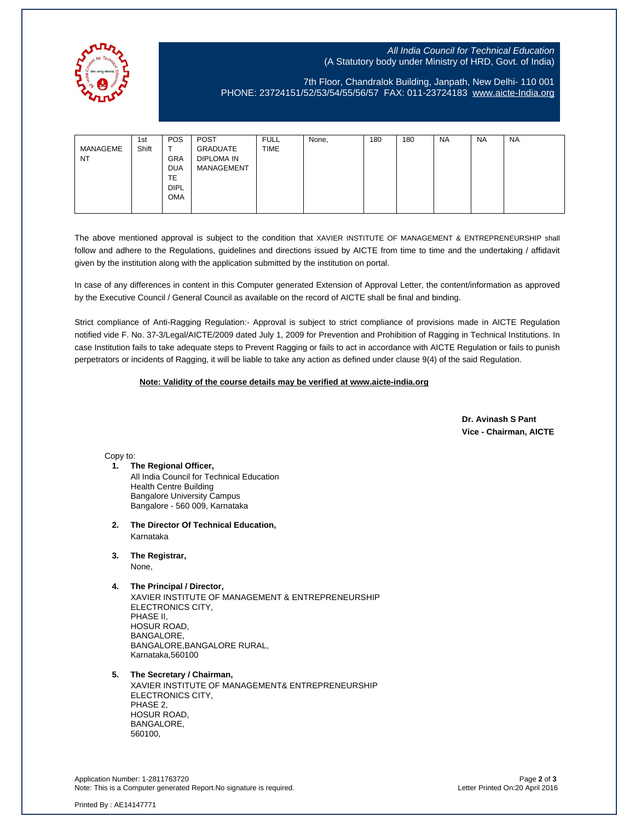

## All India Council for Technical Education (A Statutory body under Ministry of HRD, Govt. of India)

# 7th Floor, Chandralok Building, Janpath, New Delhi- 110 001 PHONE: 23724151/52/53/54/55/56/57 FAX: 011-23724183 [www.aicte-India.org](http://www.aicte-india.org/)

|           | 1st   | <b>POS</b>  | <b>POST</b> | <b>FULL</b> | None, | 180 | 180 | <b>NA</b> | <b>NA</b> | NA |
|-----------|-------|-------------|-------------|-------------|-------|-----|-----|-----------|-----------|----|
| MANAGEME  | Shift |             | GRADUATE    | <b>TIME</b> |       |     |     |           |           |    |
| <b>NT</b> |       | <b>GRA</b>  | DIPLOMA IN  |             |       |     |     |           |           |    |
|           |       | <b>DUA</b>  | MANAGEMENT  |             |       |     |     |           |           |    |
|           |       | TE          |             |             |       |     |     |           |           |    |
|           |       | <b>DIPL</b> |             |             |       |     |     |           |           |    |
|           |       | <b>OMA</b>  |             |             |       |     |     |           |           |    |
|           |       |             |             |             |       |     |     |           |           |    |

The above mentioned approval is subject to the condition that XAVIER INSTITUTE OF MANAGEMENT & ENTREPRENEURSHIP shall follow and adhere to the Regulations, guidelines and directions issued by AICTE from time to time and the undertaking / affidavit given by the institution along with the application submitted by the institution on portal.

In case of any differences in content in this Computer generated Extension of Approval Letter, the content/information as approved by the Executive Council / General Council as available on the record of AICTE shall be final and binding.

Strict compliance of Anti-Ragging Regulation:- Approval is subject to strict compliance of provisions made in AICTE Regulation notified vide F. No. 37-3/Legal/AICTE/2009 dated July 1, 2009 for Prevention and Prohibition of Ragging in Technical Institutions. In case Institution fails to take adequate steps to Prevent Ragging or fails to act in accordance with AICTE Regulation or fails to punish perpetrators or incidents of Ragging, it will be liable to take any action as defined under clause 9(4) of the said Regulation.

### **Note: Validity of the course details may be verified at www.aicte-india.org**

 **Dr. Avinash S Pant Vice - Chairman, AICTE**

Copy to:

**1. The Regional Officer,**

All India Council for Technical Education Health Centre Building Bangalore University Campus Bangalore - 560 009, Karnataka

- **2. The Director Of Technical Education,** Karnataka
- **3. The Registrar,**

None,

**4. The Principal / Director,**

XAVIER INSTITUTE OF MANAGEMENT & ENTREPRENEURSHIP ELECTRONICS CITY, PHASE II, HOSUR ROAD, BANGALORE, BANGALORE,BANGALORE RURAL, Karnataka,560100

### **5. The Secretary / Chairman,**

XAVIER INSTITUTE OF MANAGEMENT& ENTREPRENEURSHIP ELECTRONICS CITY, PHASE 2, HOSUR ROAD, BANGALORE, 560100,

Application Number: 1-2811763720 Page **2** of **3** Note: This is a Computer generated Report.No signature is required.